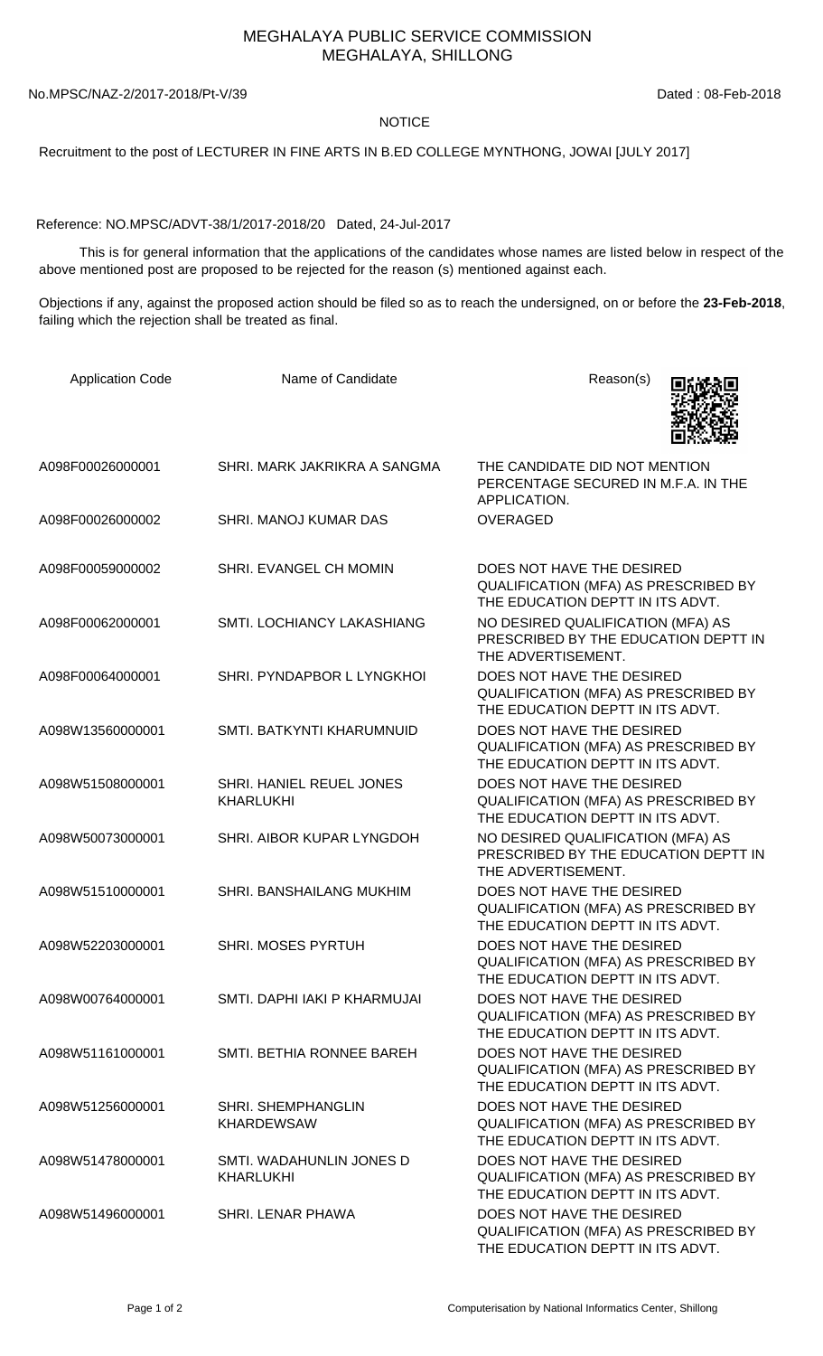## MEGHALAYA PUBLIC SERVICE COMMISSION MEGHALAYA, SHILLONG

No.MPSC/NAZ-2/2017-2018/Pt-V/39 Dated: 08-Feb-2018

## **NOTICE**

Recruitment to the post of LECTURER IN FINE ARTS IN B.ED COLLEGE MYNTHONG, JOWAI [JULY 2017]

Reference: NO.MPSC/ADVT-38/1/2017-2018/20 Dated, 24-Jul-2017

 This is for general information that the applications of the candidates whose names are listed below in respect of the above mentioned post are proposed to be rejected for the reason (s) mentioned against each.

Objections if any, against the proposed action should be filed so as to reach the undersigned, on or before the **23-Feb-2018**, failing which the rejection shall be treated as final.

| <b>Application Code</b> | Name of Candidate                                   | Reason(s)                                                                                             |
|-------------------------|-----------------------------------------------------|-------------------------------------------------------------------------------------------------------|
| A098F00026000001        | SHRI. MARK JAKRIKRA A SANGMA                        | THE CANDIDATE DID NOT MENTION<br>PERCENTAGE SECURED IN M.F.A. IN THE<br>APPLICATION.                  |
| A098F00026000002        | SHRI. MANOJ KUMAR DAS                               | <b>OVERAGED</b>                                                                                       |
| A098F00059000002        | SHRI. EVANGEL CH MOMIN                              | DOES NOT HAVE THE DESIRED<br>QUALIFICATION (MFA) AS PRESCRIBED BY<br>THE EDUCATION DEPTT IN ITS ADVT. |
| A098F00062000001        | <b>SMTI. LOCHIANCY LAKASHIANG</b>                   | NO DESIRED QUALIFICATION (MFA) AS<br>PRESCRIBED BY THE EDUCATION DEPTT IN<br>THE ADVERTISEMENT.       |
| A098F00064000001        | SHRI. PYNDAPBOR L LYNGKHOI                          | DOES NOT HAVE THE DESIRED<br>QUALIFICATION (MFA) AS PRESCRIBED BY<br>THE EDUCATION DEPTT IN ITS ADVT. |
| A098W13560000001        | SMTI. BATKYNTI KHARUMNUID                           | DOES NOT HAVE THE DESIRED<br>QUALIFICATION (MFA) AS PRESCRIBED BY<br>THE EDUCATION DEPTT IN ITS ADVT. |
| A098W51508000001        | <b>SHRI. HANIEL REUEL JONES</b><br><b>KHARLUKHI</b> | DOES NOT HAVE THE DESIRED<br>QUALIFICATION (MFA) AS PRESCRIBED BY<br>THE EDUCATION DEPTT IN ITS ADVT. |
| A098W50073000001        | SHRI. AIBOR KUPAR LYNGDOH                           | NO DESIRED QUALIFICATION (MFA) AS<br>PRESCRIBED BY THE EDUCATION DEPTT IN<br>THE ADVERTISEMENT.       |
| A098W51510000001        | SHRI. BANSHAILANG MUKHIM                            | DOES NOT HAVE THE DESIRED<br>QUALIFICATION (MFA) AS PRESCRIBED BY<br>THE EDUCATION DEPTT IN ITS ADVT. |
| A098W52203000001        | <b>SHRI. MOSES PYRTUH</b>                           | DOES NOT HAVE THE DESIRED<br>QUALIFICATION (MFA) AS PRESCRIBED BY<br>THE EDUCATION DEPTT IN ITS ADVT. |
| A098W00764000001        | SMTI. DAPHI JAKI P KHARMUJAI                        | DOES NOT HAVE THE DESIRED<br>QUALIFICATION (MFA) AS PRESCRIBED BY<br>THE EDUCATION DEPTT IN ITS ADVT. |
| A098W51161000001        | SMTI. BETHIA RONNEE BAREH                           | DOES NOT HAVE THE DESIRED<br>QUALIFICATION (MFA) AS PRESCRIBED BY<br>THE EDUCATION DEPTT IN ITS ADVT. |
| A098W51256000001        | <b>SHRI. SHEMPHANGLIN</b><br><b>KHARDEWSAW</b>      | DOES NOT HAVE THE DESIRED<br>QUALIFICATION (MFA) AS PRESCRIBED BY<br>THE EDUCATION DEPTT IN ITS ADVT. |
| A098W51478000001        | SMTI. WADAHUNLIN JONES D<br><b>KHARLUKHI</b>        | DOES NOT HAVE THE DESIRED<br>QUALIFICATION (MFA) AS PRESCRIBED BY<br>THE EDUCATION DEPTT IN ITS ADVT. |
| A098W51496000001        | SHRI. LENAR PHAWA                                   | DOES NOT HAVE THE DESIRED<br>QUALIFICATION (MFA) AS PRESCRIBED BY<br>THE EDUCATION DEPTT IN ITS ADVT. |